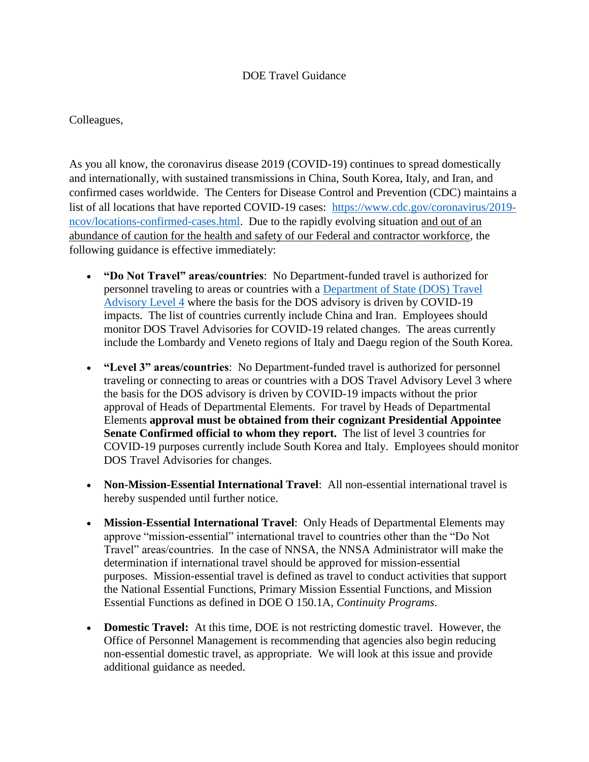## DOE Travel Guidance

## Colleagues,

 confirmed cases worldwide. The Centers for Disease Control and Prevention (CDC) maintains a list of all locations that have reported COVID-19 cases: [https://www.cdc.gov/coronavirus/2019](https://www.cdc.gov/coronavirus/2019-ncov/locations-confirmed-cases.html) [ncov/locations-confirmed-cases.html.](https://www.cdc.gov/coronavirus/2019-ncov/locations-confirmed-cases.html) Due to the rapidly evolving situation and out of an As you all know, the coronavirus disease 2019 (COVID-19) continues to spread domestically and internationally, with sustained transmissions in China, South Korea, Italy, and Iran, and abundance of caution for the health and safety of our Federal and contractor workforce, the following guidance is effective immediately:

- **"Do Not Travel" areas/countries**: No Department-funded travel is authorized for impacts. The list of countries currently include China and Iran. Employees should monitor DOS Travel Advisories for COVID-19 related changes. The areas currently personnel traveling to areas or countries with a [Department of State \(DOS\) Travel](https://travel.state.gov/content/travel/en/traveladvisories/traveladvisories.html/)  [Advisory Level 4](https://travel.state.gov/content/travel/en/traveladvisories/traveladvisories.html/) where the basis for the DOS advisory is driven by COVID-19 include the Lombardy and Veneto regions of Italy and Daegu region of the South Korea.
- **"Level 3" areas/countries**: No Department-funded travel is authorized for personnel approval of Heads of Departmental Elements. For travel by Heads of Departmental COVID-19 purposes currently include South Korea and Italy. Employees should monitor traveling or connecting to areas or countries with a DOS Travel Advisory Level 3 where the basis for the DOS advisory is driven by COVID-19 impacts without the prior Elements **approval must be obtained from their cognizant Presidential Appointee Senate Confirmed official to whom they report.** The list of level 3 countries for DOS Travel Advisories for changes.
- **Non-Mission-Essential International Travel**: All non-essential international travel is hereby suspended until further notice.
- **Mission-Essential International Travel**: Only Heads of Departmental Elements may Travel" areas/countries. In the case of NNSA, the NNSA Administrator will make the purposes. Mission-essential travel is defined as travel to conduct activities that support approve "mission-essential" international travel to countries other than the "Do Not determination if international travel should be approved for mission-essential the National Essential Functions, Primary Mission Essential Functions, and Mission Essential Functions as defined in DOE O 150.1A, *Continuity Programs*.
- **Domestic Travel:** At this time, DOE is not restricting domestic travel. However, the non-essential domestic travel, as appropriate. We will look at this issue and provide Office of Personnel Management is recommending that agencies also begin reducing additional guidance as needed.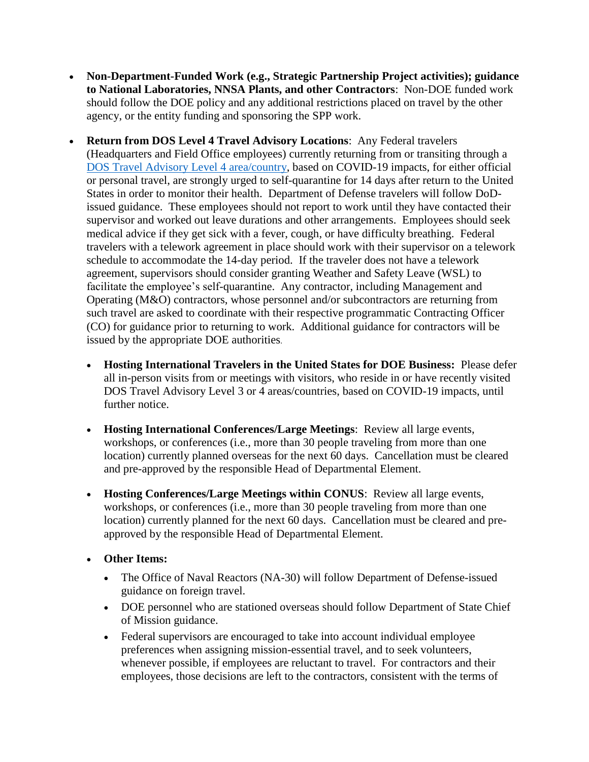- **to National Laboratories, NNSA Plants, and other Contractors**: Non-DOE funded work **Non-Department-Funded Work (e.g., Strategic Partnership Project activities); guidance**  should follow the DOE policy and any additional restrictions placed on travel by the other agency, or the entity funding and sponsoring the SPP work.
- **Return from DOS Level 4 Travel Advisory Locations**: Any Federal travelers States in order to monitor their health. Department of Defense travelers will follow DoD- issued guidance. These employees should not report to work until they have contacted their supervisor and worked out leave durations and other arrangements. Employees should seek medical advice if they get sick with a fever, cough, or have difficulty breathing. Federal schedule to accommodate the 14-day period. If the traveler does not have a telework agreement, supervisors should consider granting Weather and Safety Leave (WSL) to facilitate the employee's self-quarantine. Any contractor, including Management and (CO) for guidance prior to returning to work. Additional guidance for contractors will be (Headquarters and Field Office employees) currently returning from or transiting through a [DOS Travel Advisory Level 4 area/country,](https://travel.state.gov/content/travel/en/traveladvisories/traveladvisories.html/) based on COVID-19 impacts, for either official or personal travel, are strongly urged to self-quarantine for 14 days after return to the United travelers with a telework agreement in place should work with their supervisor on a telework Operating (M&O) contractors, whose personnel and/or subcontractors are returning from such travel are asked to coordinate with their respective programmatic Contracting Officer issued by the appropriate DOE authorities.
	- **Hosting International Travelers in the United States for DOE Business:** Please defer all in-person visits from or meetings with visitors, who reside in or have recently visited DOS Travel Advisory Level 3 or 4 areas/countries, based on COVID-19 impacts, until further notice.
	- **Hosting International Conferences/Large Meetings**: Review all large events, location) currently planned overseas for the next 60 days. Cancellation must be cleared workshops, or conferences (i.e., more than 30 people traveling from more than one and pre-approved by the responsible Head of Departmental Element.
	- **Hosting Conferences/Large Meetings within CONUS**: Review all large events, location) currently planned for the next 60 days. Cancellation must be cleared and preworkshops, or conferences (i.e., more than 30 people traveling from more than one approved by the responsible Head of Departmental Element.
	- **Other Items:** 
		- The Office of Naval Reactors (NA-30) will follow Department of Defense-issued guidance on foreign travel.
		- DOE personnel who are stationed overseas should follow Department of State Chief of Mission guidance.
		- whenever possible, if employees are reluctant to travel. For contractors and their Federal supervisors are encouraged to take into account individual employee preferences when assigning mission-essential travel, and to seek volunteers, employees, those decisions are left to the contractors, consistent with the terms of